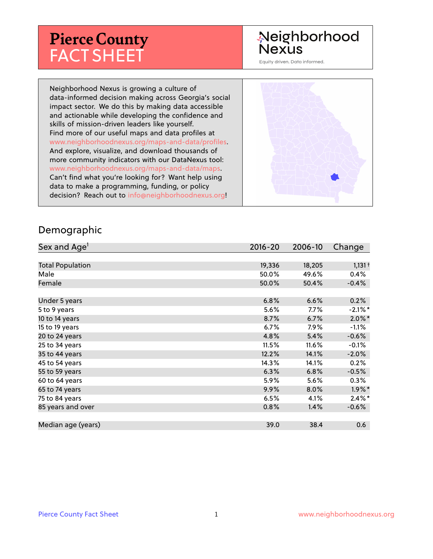# **Pierce County** FACT SHEET

# Neighborhood **Nexus**

Equity driven. Data informed.

Neighborhood Nexus is growing a culture of data-informed decision making across Georgia's social impact sector. We do this by making data accessible and actionable while developing the confidence and skills of mission-driven leaders like yourself. Find more of our useful maps and data profiles at www.neighborhoodnexus.org/maps-and-data/profiles. And explore, visualize, and download thousands of more community indicators with our DataNexus tool: www.neighborhoodnexus.org/maps-and-data/maps. Can't find what you're looking for? Want help using data to make a programming, funding, or policy decision? Reach out to [info@neighborhoodnexus.org!](mailto:info@neighborhoodnexus.org)



#### Demographic

| Sex and Age <sup>1</sup> | $2016 - 20$ | 2006-10 | Change     |
|--------------------------|-------------|---------|------------|
|                          |             |         |            |
| <b>Total Population</b>  | 19,336      | 18,205  | $1,131 +$  |
| Male                     | 50.0%       | 49.6%   | 0.4%       |
| Female                   | 50.0%       | 50.4%   | $-0.4%$    |
|                          |             |         |            |
| Under 5 years            | 6.8%        | 6.6%    | 0.2%       |
| 5 to 9 years             | 5.6%        | $7.7\%$ | $-2.1\%$ * |
| 10 to 14 years           | 8.7%        | 6.7%    | $2.0\%$ *  |
| 15 to 19 years           | 6.7%        | 7.9%    | $-1.1%$    |
| 20 to 24 years           | 4.8%        | 5.4%    | $-0.6%$    |
| 25 to 34 years           | 11.5%       | 11.6%   | $-0.1%$    |
| 35 to 44 years           | 12.2%       | 14.1%   | $-2.0%$    |
| 45 to 54 years           | 14.3%       | 14.1%   | 0.2%       |
| 55 to 59 years           | 6.3%        | 6.8%    | $-0.5%$    |
| 60 to 64 years           | 5.9%        | 5.6%    | 0.3%       |
| 65 to 74 years           | 9.9%        | $8.0\%$ | $1.9\%$ *  |
| 75 to 84 years           | 6.5%        | 4.1%    | $2.4\%$ *  |
| 85 years and over        | 0.8%        | 1.4%    | $-0.6%$    |
|                          |             |         |            |
| Median age (years)       | 39.0        | 38.4    | 0.6        |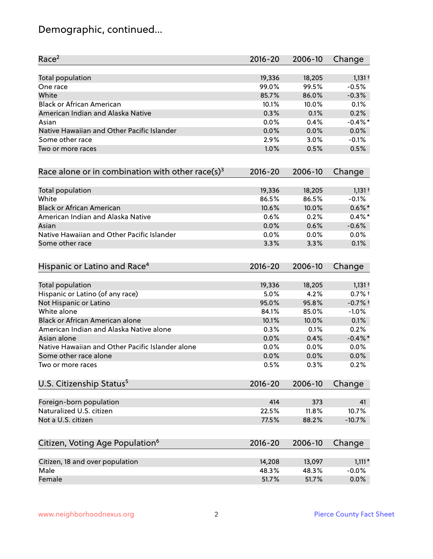# Demographic, continued...

| Race <sup>2</sup>                                            | $2016 - 20$ | 2006-10 | Change     |
|--------------------------------------------------------------|-------------|---------|------------|
| Total population                                             | 19,336      | 18,205  | $1,131 +$  |
| One race                                                     | 99.0%       | 99.5%   | $-0.5%$    |
| White                                                        | 85.7%       | 86.0%   | $-0.3%$    |
| <b>Black or African American</b>                             | 10.1%       | 10.0%   | 0.1%       |
| American Indian and Alaska Native                            | 0.3%        | 0.1%    | 0.2%       |
| Asian                                                        | 0.0%        | 0.4%    | $-0.4\%$ * |
| Native Hawaiian and Other Pacific Islander                   | 0.0%        | 0.0%    | 0.0%       |
| Some other race                                              | 2.9%        | 3.0%    | $-0.1%$    |
| Two or more races                                            | 1.0%        | 0.5%    | 0.5%       |
| Race alone or in combination with other race(s) <sup>3</sup> | $2016 - 20$ | 2006-10 | Change     |
| Total population                                             | 19,336      | 18,205  | $1,131 +$  |
| White                                                        | 86.5%       | 86.5%   | $-0.1%$    |
| <b>Black or African American</b>                             | 10.6%       | 10.0%   | $0.6\%$ *  |
| American Indian and Alaska Native                            | 0.6%        | 0.2%    | $0.4\%$ *  |
| Asian                                                        | 0.0%        | 0.6%    | $-0.6%$    |
| Native Hawaiian and Other Pacific Islander                   | 0.0%        | 0.0%    | 0.0%       |
| Some other race                                              | 3.3%        | 3.3%    | 0.1%       |
| Hispanic or Latino and Race <sup>4</sup>                     | $2016 - 20$ | 2006-10 | Change     |
| <b>Total population</b>                                      | 19,336      | 18,205  | $1,131 +$  |
| Hispanic or Latino (of any race)                             | 5.0%        | 4.2%    | $0.7%$ +   |
| Not Hispanic or Latino                                       | 95.0%       | 95.8%   | $-0.7%$ †  |
| White alone                                                  | 84.1%       | 85.0%   | $-1.0%$    |
| Black or African American alone                              | 10.1%       | 10.0%   | 0.1%       |
| American Indian and Alaska Native alone                      | 0.3%        | 0.1%    | 0.2%       |
| Asian alone                                                  | 0.0%        | 0.4%    | $-0.4\%$ * |
| Native Hawaiian and Other Pacific Islander alone             | 0.0%        | 0.0%    | 0.0%       |
| Some other race alone                                        | 0.0%        | 0.0%    | 0.0%       |
| Two or more races                                            | 0.5%        | 0.3%    | 0.2%       |
| U.S. Citizenship Status <sup>5</sup>                         | $2016 - 20$ | 2006-10 | Change     |
| Foreign-born population                                      | 414         | 373     | 41         |
| Naturalized U.S. citizen                                     | 22.5%       | 11.8%   | 10.7%      |
| Not a U.S. citizen                                           | 77.5%       | 88.2%   | $-10.7%$   |
| Citizen, Voting Age Population <sup>6</sup>                  | $2016 - 20$ | 2006-10 | Change     |
|                                                              |             |         |            |
| Citizen, 18 and over population                              | 14,208      | 13,097  | $1,111*$   |
| Male                                                         | 48.3%       | 48.3%   | $-0.0%$    |
| Female                                                       | 51.7%       | 51.7%   | 0.0%       |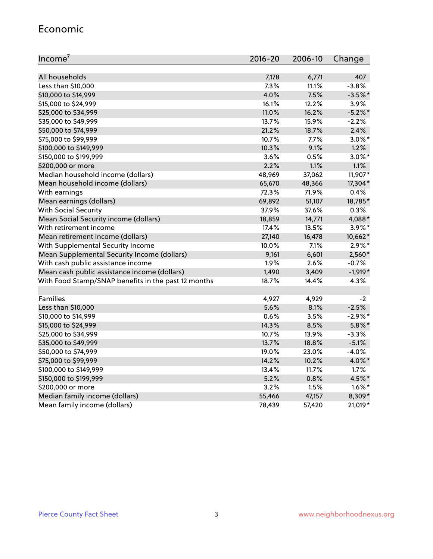#### Economic

| Income <sup>7</sup>                                 | 2016-20 | 2006-10 | Change     |
|-----------------------------------------------------|---------|---------|------------|
|                                                     |         |         |            |
| All households                                      | 7,178   | 6,771   | 407        |
| Less than \$10,000                                  | 7.3%    | 11.1%   | $-3.8%$    |
| \$10,000 to \$14,999                                | 4.0%    | 7.5%    | $-3.5%$ *  |
| \$15,000 to \$24,999                                | 16.1%   | 12.2%   | 3.9%       |
| \$25,000 to \$34,999                                | 11.0%   | 16.2%   | $-5.2\%$ * |
| \$35,000 to \$49,999                                | 13.7%   | 15.9%   | $-2.2%$    |
| \$50,000 to \$74,999                                | 21.2%   | 18.7%   | 2.4%       |
| \$75,000 to \$99,999                                | 10.7%   | 7.7%    | $3.0\%$ *  |
| \$100,000 to \$149,999                              | 10.3%   | 9.1%    | 1.2%       |
| \$150,000 to \$199,999                              | 3.6%    | 0.5%    | $3.0\%$ *  |
| \$200,000 or more                                   | 2.2%    | 1.1%    | 1.1%       |
| Median household income (dollars)                   | 48,969  | 37,062  | 11,907*    |
| Mean household income (dollars)                     | 65,670  | 48,366  | 17,304*    |
| With earnings                                       | 72.3%   | 71.9%   | 0.4%       |
| Mean earnings (dollars)                             | 69,892  | 51,107  | 18,785*    |
| <b>With Social Security</b>                         | 37.9%   | 37.6%   | 0.3%       |
| Mean Social Security income (dollars)               | 18,859  | 14,771  | 4,088*     |
| With retirement income                              | 17.4%   | 13.5%   | $3.9\%$ *  |
| Mean retirement income (dollars)                    | 27,140  | 16,478  | 10,662*    |
| With Supplemental Security Income                   | 10.0%   | $7.1\%$ | $2.9\%*$   |
| Mean Supplemental Security Income (dollars)         | 9,161   | 6,601   | 2,560*     |
| With cash public assistance income                  | 1.9%    | 2.6%    | $-0.7%$    |
| Mean cash public assistance income (dollars)        | 1,490   | 3,409   | $-1,919*$  |
| With Food Stamp/SNAP benefits in the past 12 months | 18.7%   | 14.4%   | 4.3%       |
|                                                     |         |         |            |
| Families                                            | 4,927   | 4,929   | $-2$       |
| Less than \$10,000                                  | 5.6%    | 8.1%    | $-2.5%$    |
| \$10,000 to \$14,999                                | 0.6%    | 3.5%    | $-2.9%$ *  |
| \$15,000 to \$24,999                                | 14.3%   | 8.5%    | $5.8\%$ *  |
| \$25,000 to \$34,999                                | 10.7%   | 13.9%   | $-3.3%$    |
| \$35,000 to \$49,999                                | 13.7%   | 18.8%   | $-5.1%$    |
| \$50,000 to \$74,999                                | 19.0%   | 23.0%   | $-4.0%$    |
| \$75,000 to \$99,999                                | 14.2%   | 10.2%   | 4.0%*      |
| \$100,000 to \$149,999                              | 13.4%   | 11.7%   | 1.7%       |
| \$150,000 to \$199,999                              | 5.2%    | 0.8%    | 4.5%*      |
| \$200,000 or more                                   | 3.2%    | 1.5%    | $1.6\%$ *  |
| Median family income (dollars)                      | 55,466  | 47,157  | 8,309*     |
| Mean family income (dollars)                        | 78,439  | 57,420  | 21,019*    |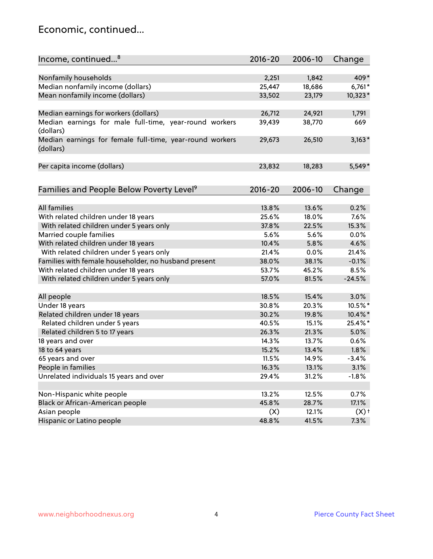### Economic, continued...

| Income, continued <sup>8</sup>                                        | $2016 - 20$ | 2006-10 | Change   |
|-----------------------------------------------------------------------|-------------|---------|----------|
|                                                                       |             |         |          |
| Nonfamily households                                                  | 2,251       | 1,842   | 409*     |
| Median nonfamily income (dollars)                                     | 25,447      | 18,686  | $6,761*$ |
| Mean nonfamily income (dollars)                                       | 33,502      | 23,179  | 10,323*  |
| Median earnings for workers (dollars)                                 | 26,712      | 24,921  | 1,791    |
| Median earnings for male full-time, year-round workers<br>(dollars)   | 39,439      | 38,770  | 669      |
| Median earnings for female full-time, year-round workers<br>(dollars) | 29,673      | 26,510  | $3,163*$ |
| Per capita income (dollars)                                           | 23,832      | 18,283  | $5,549*$ |
| Families and People Below Poverty Level <sup>9</sup>                  | $2016 - 20$ | 2006-10 | Change   |
|                                                                       |             |         |          |
| <b>All families</b>                                                   | 13.8%       | 13.6%   | 0.2%     |
| With related children under 18 years                                  | 25.6%       | 18.0%   | 7.6%     |
| With related children under 5 years only                              | 37.8%       | 22.5%   | 15.3%    |
| Married couple families                                               | 5.6%        | 5.6%    | 0.0%     |
| With related children under 18 years                                  | 10.4%       | 5.8%    | 4.6%     |
| With related children under 5 years only                              | 21.4%       | 0.0%    | 21.4%    |
| Families with female householder, no husband present                  | 38.0%       | 38.1%   | $-0.1%$  |
| With related children under 18 years                                  | 53.7%       | 45.2%   | 8.5%     |
| With related children under 5 years only                              | 57.0%       | 81.5%   | $-24.5%$ |
| All people                                                            | 18.5%       | 15.4%   | 3.0%     |
| Under 18 years                                                        | 30.8%       | 20.3%   | 10.5%*   |
| Related children under 18 years                                       | 30.2%       | 19.8%   | 10.4%*   |
| Related children under 5 years                                        | 40.5%       | 15.1%   | 25.4%*   |
| Related children 5 to 17 years                                        | 26.3%       | 21.3%   | 5.0%     |
| 18 years and over                                                     | 14.3%       | 13.7%   | 0.6%     |
| 18 to 64 years                                                        | 15.2%       | 13.4%   | 1.8%     |
| 65 years and over                                                     | 11.5%       | 14.9%   | $-3.4%$  |
| People in families                                                    | 16.3%       | 13.1%   | 3.1%     |
| Unrelated individuals 15 years and over                               | 29.4%       | 31.2%   | $-1.8%$  |
|                                                                       |             |         |          |
| Non-Hispanic white people                                             | 13.2%       | 12.5%   | 0.7%     |
| Black or African-American people                                      | 45.8%       | 28.7%   | 17.1%    |
| Asian people                                                          | (X)         | 12.1%   | $(X)$ +  |
| Hispanic or Latino people                                             | 48.8%       | 41.5%   | 7.3%     |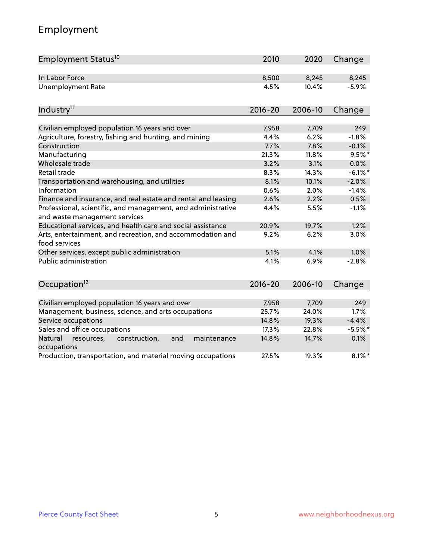# Employment

| Employment Status <sup>10</sup>                                                               | 2010        | 2020    | Change     |
|-----------------------------------------------------------------------------------------------|-------------|---------|------------|
| In Labor Force                                                                                | 8,500       | 8,245   | 8,245      |
| <b>Unemployment Rate</b>                                                                      | 4.5%        | 10.4%   | $-5.9%$    |
|                                                                                               | $2016 - 20$ | 2006-10 |            |
| Industry <sup>11</sup>                                                                        |             |         | Change     |
| Civilian employed population 16 years and over                                                | 7,958       | 7,709   | 249        |
| Agriculture, forestry, fishing and hunting, and mining                                        | 4.4%        | 6.2%    | $-1.8%$    |
| Construction                                                                                  | 7.7%        | 7.8%    | $-0.1%$    |
| Manufacturing                                                                                 | 21.3%       | 11.8%   | $9.5%$ *   |
| Wholesale trade                                                                               | 3.2%        | 3.1%    | 0.0%       |
| Retail trade                                                                                  | 8.3%        | 14.3%   | $-6.1\%$ * |
| Transportation and warehousing, and utilities                                                 | 8.1%        | 10.1%   | $-2.0%$    |
| Information                                                                                   | 0.6%        | 2.0%    | $-1.4%$    |
| Finance and insurance, and real estate and rental and leasing                                 | 2.6%        | 2.2%    | 0.5%       |
| Professional, scientific, and management, and administrative<br>and waste management services | 4.4%        | 5.5%    | $-1.1%$    |
| Educational services, and health care and social assistance                                   | 20.9%       | 19.7%   | 1.2%       |
| Arts, entertainment, and recreation, and accommodation and<br>food services                   | 9.2%        | 6.2%    | 3.0%       |
| Other services, except public administration                                                  | 5.1%        | 4.1%    | 1.0%       |
| Public administration                                                                         | 4.1%        | 6.9%    | $-2.8%$    |
| Occupation <sup>12</sup>                                                                      | $2016 - 20$ | 2006-10 | Change     |
|                                                                                               |             |         |            |
| Civilian employed population 16 years and over                                                | 7,958       | 7,709   | 249        |
| Management, business, science, and arts occupations                                           | 25.7%       | 24.0%   | 1.7%       |
| Service occupations                                                                           | 14.8%       | 19.3%   | $-4.4%$    |
| Sales and office occupations                                                                  | 17.3%       | 22.8%   | $-5.5%$ *  |
| Natural<br>construction,<br>and<br>maintenance<br>resources,<br>occupations                   | 14.8%       | 14.7%   | 0.1%       |
| Production, transportation, and material moving occupations                                   | 27.5%       | 19.3%   | $8.1\%$ *  |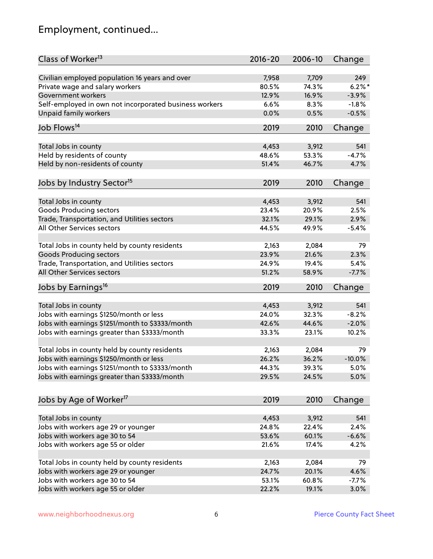# Employment, continued...

| Class of Worker <sup>13</sup>                                              | $2016 - 20$ | 2006-10 | Change    |
|----------------------------------------------------------------------------|-------------|---------|-----------|
| Civilian employed population 16 years and over                             | 7,958       | 7,709   | 249       |
| Private wage and salary workers                                            | 80.5%       | 74.3%   | $6.2\%$ * |
| Government workers                                                         | 12.9%       | 16.9%   | $-3.9%$   |
| Self-employed in own not incorporated business workers                     | 6.6%        | 8.3%    | $-1.8%$   |
| Unpaid family workers                                                      | 0.0%        | 0.5%    | $-0.5%$   |
| Job Flows <sup>14</sup>                                                    | 2019        | 2010    | Change    |
|                                                                            |             |         |           |
| Total Jobs in county                                                       | 4,453       | 3,912   | 541       |
| Held by residents of county                                                | 48.6%       | 53.3%   | $-4.7%$   |
| Held by non-residents of county                                            | 51.4%       | 46.7%   | 4.7%      |
|                                                                            |             |         |           |
| Jobs by Industry Sector <sup>15</sup>                                      | 2019        | 2010    | Change    |
| Total Jobs in county                                                       | 4,453       | 3,912   | 541       |
| Goods Producing sectors                                                    | 23.4%       | 20.9%   | 2.5%      |
|                                                                            | 32.1%       | 29.1%   | 2.9%      |
| Trade, Transportation, and Utilities sectors<br>All Other Services sectors |             |         |           |
|                                                                            | 44.5%       | 49.9%   | $-5.4%$   |
| Total Jobs in county held by county residents                              | 2,163       | 2,084   | 79        |
| <b>Goods Producing sectors</b>                                             | 23.9%       | 21.6%   | 2.3%      |
| Trade, Transportation, and Utilities sectors                               | 24.9%       | 19.4%   | 5.4%      |
| All Other Services sectors                                                 | 51.2%       | 58.9%   | $-7.7%$   |
|                                                                            |             |         |           |
| Jobs by Earnings <sup>16</sup>                                             | 2019        | 2010    | Change    |
| Total Jobs in county                                                       | 4,453       | 3,912   | 541       |
| Jobs with earnings \$1250/month or less                                    | 24.0%       | 32.3%   | $-8.2%$   |
| Jobs with earnings \$1251/month to \$3333/month                            | 42.6%       | 44.6%   | $-2.0%$   |
|                                                                            | 33.3%       |         |           |
| Jobs with earnings greater than \$3333/month                               |             | 23.1%   | 10.2%     |
| Total Jobs in county held by county residents                              | 2,163       | 2,084   | 79        |
| Jobs with earnings \$1250/month or less                                    | 26.2%       | 36.2%   | $-10.0%$  |
| Jobs with earnings \$1251/month to \$3333/month                            | 44.3%       | 39.3%   | $5.0\%$   |
| Jobs with earnings greater than \$3333/month                               | 29.5%       | 24.5%   | 5.0%      |
|                                                                            |             |         |           |
| Jobs by Age of Worker <sup>17</sup>                                        | 2019        | 2010    | Change    |
|                                                                            |             |         |           |
| Total Jobs in county                                                       | 4,453       | 3,912   | 541       |
| Jobs with workers age 29 or younger                                        | 24.8%       | 22.4%   | 2.4%      |
| Jobs with workers age 30 to 54                                             | 53.6%       | 60.1%   | $-6.6%$   |
| Jobs with workers age 55 or older                                          | 21.6%       | 17.4%   | 4.2%      |
| Total Jobs in county held by county residents                              | 2,163       | 2,084   | 79        |
| Jobs with workers age 29 or younger                                        | 24.7%       | 20.1%   | 4.6%      |
| Jobs with workers age 30 to 54                                             | 53.1%       | 60.8%   | $-7.7%$   |
| Jobs with workers age 55 or older                                          | 22.2%       | 19.1%   | 3.0%      |
|                                                                            |             |         |           |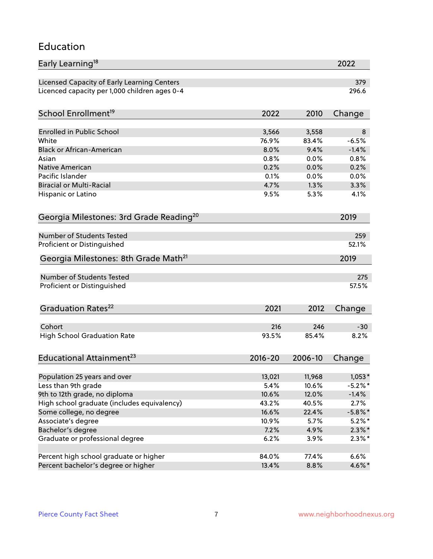#### Education

| Early Learning <sup>18</sup>                        |               |         | 2022       |
|-----------------------------------------------------|---------------|---------|------------|
| Licensed Capacity of Early Learning Centers         |               |         | 379        |
| Licenced capacity per 1,000 children ages 0-4       |               |         | 296.6      |
| School Enrollment <sup>19</sup>                     | 2022          | 2010    | Change     |
|                                                     |               |         |            |
| <b>Enrolled in Public School</b>                    | 3,566         | 3,558   | 8          |
| White                                               | 76.9%         | 83.4%   | $-6.5%$    |
| <b>Black or African-American</b>                    | 8.0%          | 9.4%    | $-1.4%$    |
| Asian                                               | 0.8%          | 0.0%    | 0.8%       |
| Native American                                     | 0.2%          | 0.0%    | 0.2%       |
| Pacific Islander                                    | 0.1%          | 0.0%    | 0.0%       |
| <b>Biracial or Multi-Racial</b>                     | 4.7%          | 1.3%    | 3.3%       |
| Hispanic or Latino                                  | 9.5%          | 5.3%    | 4.1%       |
| Georgia Milestones: 3rd Grade Reading <sup>20</sup> |               |         | 2019       |
|                                                     |               |         |            |
| Number of Students Tested                           |               |         | 259        |
| Proficient or Distinguished                         |               |         | 52.1%      |
| Georgia Milestones: 8th Grade Math <sup>21</sup>    |               |         | 2019       |
| Number of Students Tested                           |               |         | 275        |
| Proficient or Distinguished                         |               |         | 57.5%      |
|                                                     |               |         |            |
| Graduation Rates <sup>22</sup>                      | 2021          | 2012    | Change     |
| Cohort                                              | 216           | 246     | $-30$      |
| <b>High School Graduation Rate</b>                  | 93.5%         | 85.4%   | 8.2%       |
|                                                     |               |         |            |
| Educational Attainment <sup>23</sup>                | $2016 - 20$   | 2006-10 | Change     |
|                                                     | 13,021        | 11,968  | $1,053*$   |
| Population 25 years and over<br>Less than 9th grade | 5.4%          | 10.6%   | $-5.2\%$ * |
| 9th to 12th grade, no diploma                       | 10.6%         | 12.0%   | $-1.4%$    |
| High school graduate (includes equivalency)         | 43.2%         | 40.5%   | 2.7%       |
|                                                     | 16.6%         | 22.4%   | $-5.8\%$ * |
| Some college, no degree                             |               |         |            |
| Associate's degree                                  | 10.9%<br>7.2% | 5.7%    | $5.2\%$ *  |
| Bachelor's degree                                   |               | 4.9%    | $2.3\%$ *  |
| Graduate or professional degree                     | 6.2%          | 3.9%    | $2.3\%$ *  |
| Percent high school graduate or higher              | 84.0%         | 77.4%   | 6.6%       |
| Percent bachelor's degree or higher                 | 13.4%         | 8.8%    | 4.6%*      |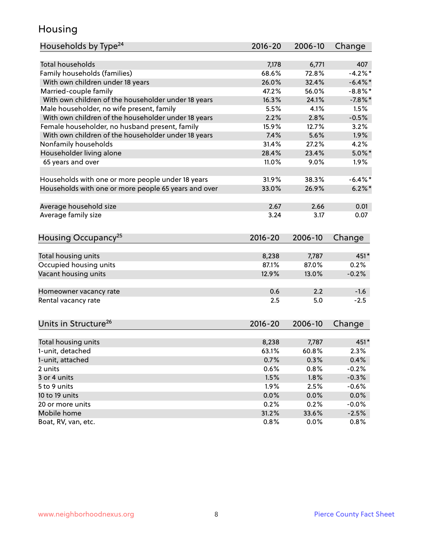### Housing

| Households by Type <sup>24</sup>                     | 2016-20        | 2006-10        | Change             |
|------------------------------------------------------|----------------|----------------|--------------------|
|                                                      |                |                |                    |
| Total households                                     | 7,178          | 6,771          | 407                |
| Family households (families)                         | 68.6%          | 72.8%          | $-4.2%$            |
| With own children under 18 years                     | 26.0%          | 32.4%          | $-6.4\%$ *         |
| Married-couple family                                | 47.2%          | 56.0%          | $-8.8\%$ *         |
| With own children of the householder under 18 years  | 16.3%          | 24.1%          | $-7.8%$            |
| Male householder, no wife present, family            | 5.5%           | 4.1%           | 1.5%               |
| With own children of the householder under 18 years  | 2.2%           | 2.8%           | $-0.5%$            |
| Female householder, no husband present, family       | 15.9%          | 12.7%          | 3.2%               |
| With own children of the householder under 18 years  | 7.4%           | 5.6%           | 1.9%               |
| Nonfamily households                                 | 31.4%          | 27.2%          | 4.2%               |
| Householder living alone                             | 28.4%          | 23.4%          | $5.0\%$ *          |
| 65 years and over                                    | 11.0%          | 9.0%           | 1.9%               |
| Households with one or more people under 18 years    | 31.9%          | 38.3%          | $-6.4\%$ *         |
| Households with one or more people 65 years and over | 33.0%          | 26.9%          | $6.2\%$            |
|                                                      |                |                |                    |
| Average household size                               | 2.67           | 2.66           | 0.01               |
| Average family size                                  | 3.24           | 3.17           | 0.07               |
| Housing Occupancy <sup>25</sup>                      | $2016 - 20$    | 2006-10        | Change             |
|                                                      |                |                | 451*               |
| Total housing units                                  | 8,238<br>87.1% | 7,787<br>87.0% | 0.2%               |
| Occupied housing units<br>Vacant housing units       |                | 13.0%          | $-0.2%$            |
|                                                      | 12.9%          |                |                    |
| Homeowner vacancy rate                               | 0.6            | 2.2            | $-1.6$             |
| Rental vacancy rate                                  | 2.5            | 5.0            | $-2.5$             |
| Units in Structure <sup>26</sup>                     | 2016-20        | 2006-10        | Change             |
| Total housing units                                  | 8,238          | 7,787          | 451*               |
| 1-unit, detached                                     | 63.1%          | 60.8%          | 2.3%               |
| 1-unit, attached                                     | 0.7%           | 0.3%           | 0.4%               |
| 2 units                                              | 0.6%           | 0.8%           | $-0.2%$            |
| 3 or 4 units                                         | 1.5%           | 1.8%           | $-0.3%$            |
| 5 to 9 units                                         | 1.9%           | 2.5%           | $-0.6%$            |
|                                                      |                |                |                    |
| 10 to 19 units                                       | 0.0%           | 0.0%           | 0.0%               |
| 20 or more units<br>Mobile home                      | 0.2%<br>31.2%  | 0.2%<br>33.6%  | $-0.0%$<br>$-2.5%$ |
| Boat, RV, van, etc.                                  | 0.8%           | $0.0\%$        | 0.8%               |
|                                                      |                |                |                    |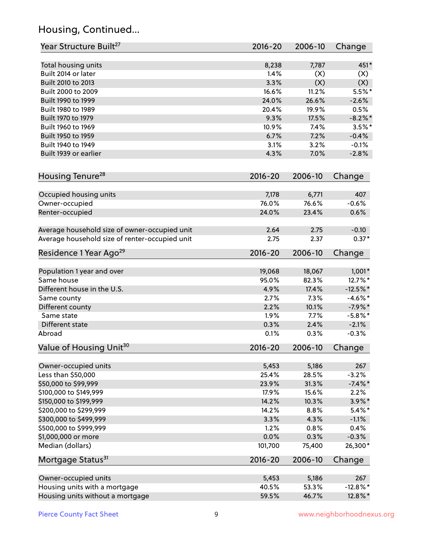# Housing, Continued...

| Year Structure Built <sup>27</sup>             | 2016-20     | 2006-10 | Change      |
|------------------------------------------------|-------------|---------|-------------|
| Total housing units                            | 8,238       | 7,787   | 451*        |
| Built 2014 or later                            | 1.4%        | (X)     | (X)         |
| Built 2010 to 2013                             | 3.3%        | (X)     | (X)         |
| Built 2000 to 2009                             | 16.6%       | 11.2%   | $5.5%$ *    |
| Built 1990 to 1999                             | 24.0%       | 26.6%   | $-2.6%$     |
| Built 1980 to 1989                             | 20.4%       | 19.9%   | 0.5%        |
| Built 1970 to 1979                             | 9.3%        | 17.5%   | $-8.2\%$ *  |
| Built 1960 to 1969                             | 10.9%       | 7.4%    | $3.5%$ *    |
| Built 1950 to 1959                             | 6.7%        | 7.2%    | $-0.4%$     |
| Built 1940 to 1949                             | 3.1%        | 3.2%    | $-0.1%$     |
| Built 1939 or earlier                          | 4.3%        | 7.0%    | $-2.8%$     |
| Housing Tenure <sup>28</sup>                   | $2016 - 20$ | 2006-10 | Change      |
| Occupied housing units                         | 7,178       | 6,771   | 407         |
| Owner-occupied                                 | 76.0%       | 76.6%   | $-0.6%$     |
| Renter-occupied                                | 24.0%       | 23.4%   | 0.6%        |
| Average household size of owner-occupied unit  | 2.64        | 2.75    | $-0.10$     |
| Average household size of renter-occupied unit | 2.75        | 2.37    | $0.37*$     |
| Residence 1 Year Ago <sup>29</sup>             | $2016 - 20$ | 2006-10 | Change      |
| Population 1 year and over                     | 19,068      | 18,067  | $1,001*$    |
| Same house                                     | 95.0%       | 82.3%   | 12.7%*      |
| Different house in the U.S.                    | 4.9%        | 17.4%   | $-12.5%$ *  |
| Same county                                    | 2.7%        | 7.3%    | $-4.6\%$ *  |
| Different county                               | 2.2%        | 10.1%   | $-7.9%$ *   |
| Same state                                     | 1.9%        | 7.7%    | $-5.8\%$ *  |
| Different state                                | 0.3%        | 2.4%    | $-2.1%$     |
| Abroad                                         | 0.1%        | 0.3%    | $-0.3%$     |
| Value of Housing Unit <sup>30</sup>            | $2016 - 20$ | 2006-10 | Change      |
| Owner-occupied units                           | 5,453       | 5,186   | 267         |
| Less than \$50,000                             | 25.4%       | 28.5%   | $-3.2%$     |
| \$50,000 to \$99,999                           | 23.9%       | 31.3%   | $-7.4\%$ *  |
| \$100,000 to \$149,999                         | 17.9%       | 15.6%   | 2.2%        |
| \$150,000 to \$199,999                         | 14.2%       | 10.3%   | $3.9\%$ *   |
| \$200,000 to \$299,999                         | 14.2%       | 8.8%    | $5.4\%$ *   |
| \$300,000 to \$499,999                         | 3.3%        | 4.3%    | $-1.1%$     |
| \$500,000 to \$999,999                         | 1.2%        | 0.8%    | 0.4%        |
| \$1,000,000 or more                            | 0.0%        | 0.3%    | $-0.3%$     |
| Median (dollars)                               | 101,700     | 75,400  | 26,300*     |
| Mortgage Status <sup>31</sup>                  | $2016 - 20$ | 2006-10 | Change      |
| Owner-occupied units                           | 5,453       | 5,186   | 267         |
| Housing units with a mortgage                  | 40.5%       | 53.3%   | $-12.8\%$ * |
| Housing units without a mortgage               | 59.5%       | 46.7%   | 12.8%*      |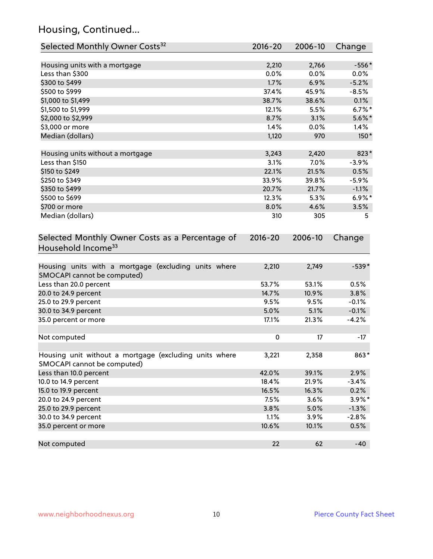# Housing, Continued...

| Selected Monthly Owner Costs <sup>32</sup>                                            | 2016-20     | 2006-10 | Change    |
|---------------------------------------------------------------------------------------|-------------|---------|-----------|
| Housing units with a mortgage                                                         | 2,210       | 2,766   | $-556*$   |
| Less than \$300                                                                       | 0.0%        | 0.0%    | 0.0%      |
| \$300 to \$499                                                                        | 1.7%        | 6.9%    | $-5.2%$   |
| \$500 to \$999                                                                        | 37.4%       | 45.9%   | $-8.5%$   |
| \$1,000 to \$1,499                                                                    | 38.7%       | 38.6%   | 0.1%      |
| \$1,500 to \$1,999                                                                    | 12.1%       | 5.5%    | $6.7%$ *  |
| \$2,000 to \$2,999                                                                    | 8.7%        | 3.1%    | $5.6\%$ * |
| \$3,000 or more                                                                       | 1.4%        | 0.0%    | 1.4%      |
| Median (dollars)                                                                      | 1,120       | 970     | 150*      |
| Housing units without a mortgage                                                      | 3,243       | 2,420   | 823*      |
| Less than \$150                                                                       | 3.1%        | 7.0%    | $-3.9%$   |
| \$150 to \$249                                                                        | 22.1%       | 21.5%   | 0.5%      |
| \$250 to \$349                                                                        | 33.9%       | 39.8%   | $-5.9%$   |
| \$350 to \$499                                                                        | 20.7%       | 21.7%   | $-1.1%$   |
| \$500 to \$699                                                                        | 12.3%       | 5.3%    | $6.9\%$ * |
| \$700 or more                                                                         | 8.0%        | 4.6%    | 3.5%      |
| Median (dollars)                                                                      | 310         | 305     | 5         |
| Selected Monthly Owner Costs as a Percentage of<br>Household Income <sup>33</sup>     | $2016 - 20$ | 2006-10 | Change    |
| Housing units with a mortgage (excluding units where<br>SMOCAPI cannot be computed)   | 2,210       | 2,749   | $-539*$   |
| Less than 20.0 percent                                                                | 53.7%       | 53.1%   | 0.5%      |
| 20.0 to 24.9 percent                                                                  | 14.7%       | 10.9%   | 3.8%      |
| 25.0 to 29.9 percent                                                                  | 9.5%        | 9.5%    | $-0.1%$   |
| 30.0 to 34.9 percent                                                                  | 5.0%        | 5.1%    | $-0.1%$   |
| 35.0 percent or more                                                                  | 17.1%       | 21.3%   | $-4.2%$   |
| Not computed                                                                          | $\pmb{0}$   | 17      | $-17$     |
| Housing unit without a mortgage (excluding units where<br>SMOCAPI cannot be computed) | 3,221       | 2,358   | 863*      |
| Less than 10.0 percent                                                                | 42.0%       | 39.1%   | 2.9%      |
| 10.0 to 14.9 percent                                                                  | 18.4%       | 21.9%   | $-3.4%$   |
| 15.0 to 19.9 percent                                                                  | 16.5%       | 16.3%   | 0.2%      |
| 20.0 to 24.9 percent                                                                  | 7.5%        | 3.6%    | $3.9\%$ * |
| 25.0 to 29.9 percent                                                                  | 3.8%        | 5.0%    | $-1.3\%$  |
| 30.0 to 34.9 percent                                                                  | 1.1%        | 3.9%    | $-2.8%$   |
| 35.0 percent or more                                                                  | 10.6%       | 10.1%   | 0.5%      |
| Not computed                                                                          | 22          | 62      | $-40$     |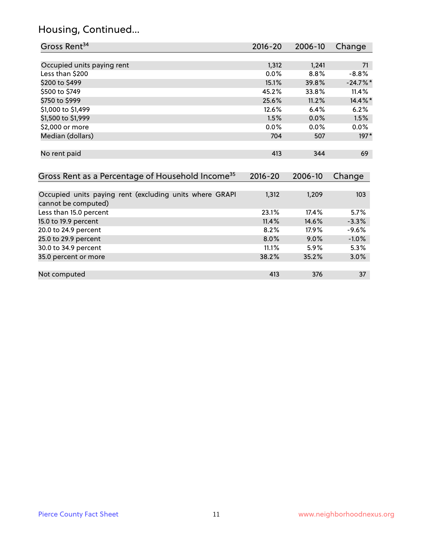# Housing, Continued...

| Gross Rent <sup>34</sup>                                                       | 2016-20     | 2006-10 | Change     |
|--------------------------------------------------------------------------------|-------------|---------|------------|
|                                                                                |             |         |            |
| Occupied units paying rent                                                     | 1,312       | 1,241   | 71         |
| Less than \$200                                                                | 0.0%        | 8.8%    | $-8.8%$    |
| \$200 to \$499                                                                 | 15.1%       | 39.8%   | $-24.7%$ * |
| \$500 to \$749                                                                 | 45.2%       | 33.8%   | 11.4%      |
| \$750 to \$999                                                                 | 25.6%       | 11.2%   | 14.4%*     |
| \$1,000 to \$1,499                                                             | 12.6%       | 6.4%    | 6.2%       |
| \$1,500 to \$1,999                                                             | 1.5%        | 0.0%    | 1.5%       |
| \$2,000 or more                                                                | $0.0\%$     | 0.0%    | $0.0\%$    |
| Median (dollars)                                                               | 704         | 507     | $197*$     |
|                                                                                |             |         |            |
| No rent paid                                                                   | 413         | 344     | 69         |
|                                                                                |             |         |            |
| Gross Rent as a Percentage of Household Income <sup>35</sup>                   | $2016 - 20$ | 2006-10 | Change     |
|                                                                                |             |         |            |
| Occupied units paying rent (excluding units where GRAPI<br>cannot be computed) | 1,312       | 1,209   | 103        |
| Less than 15.0 percent                                                         | 23.1%       | 17.4%   | 5.7%       |
| 15.0 to 19.9 percent                                                           | 11.4%       | 14.6%   | $-3.3%$    |
| 20.0 to 24.9 percent                                                           | 8.2%        | 17.9%   | -9.6%      |
| 25.0 to 29.9 percent                                                           | 8.0%        | 9.0%    | $-1.0%$    |
| 30.0 to 34.9 percent                                                           | 11.1%       | 5.9%    | 5.3%       |

| 35.0 percent or more | 38.2% | 35.2% | $3.0\%$ |
|----------------------|-------|-------|---------|
|                      |       |       |         |
| Not computed         |       | 376   |         |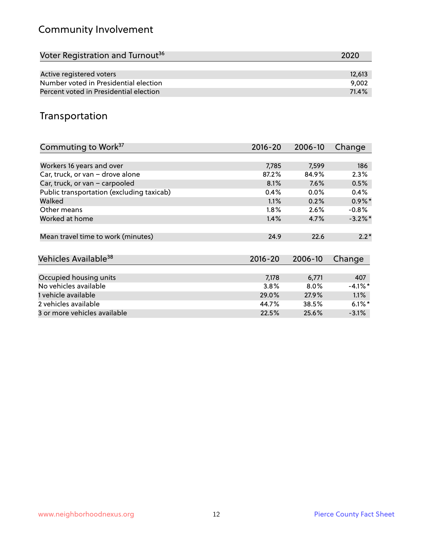# Community Involvement

| Voter Registration and Turnout <sup>36</sup> | 2020   |
|----------------------------------------------|--------|
|                                              |        |
| Active registered voters                     | 12,613 |
| Number voted in Presidential election        | 9.002  |
| Percent voted in Presidential election       | 71.4%  |

# Transportation

| Commuting to Work <sup>37</sup>           | 2016-20     | 2006-10 | Change               |
|-------------------------------------------|-------------|---------|----------------------|
|                                           |             |         |                      |
| Workers 16 years and over                 | 7,785       | 7,599   | 186                  |
| Car, truck, or van - drove alone          | 87.2%       | 84.9%   | 2.3%                 |
| Car, truck, or van - carpooled            | 8.1%        | 7.6%    | 0.5%                 |
| Public transportation (excluding taxicab) | 0.4%        | $0.0\%$ | 0.4%                 |
| Walked                                    | 1.1%        | 0.2%    | $0.9\%$ *            |
| Other means                               | 1.8%        | 2.6%    | $-0.8%$              |
| Worked at home                            | 1.4%        | 4.7%    | $-3.2\%$ *           |
|                                           |             |         |                      |
| Mean travel time to work (minutes)        | 24.9        | 22.6    | $2.2*$               |
|                                           |             |         |                      |
| Vehicles Available <sup>38</sup>          | $2016 - 20$ | 2006-10 | Change               |
|                                           |             |         |                      |
| Occupied housing units                    | 7,178       | 6,771   | 407                  |
| No vehicles available                     | 3.8%        | $8.0\%$ | $-4.1\%$ *           |
| 1 vehicle available                       | 29.0%       | 27.9%   | 1.1%                 |
| 2 vehicles available                      | 44.7%       | 38.5%   | $6.1\%$ <sup>*</sup> |
| 3 or more vehicles available              | 22.5%       | 25.6%   | $-3.1%$              |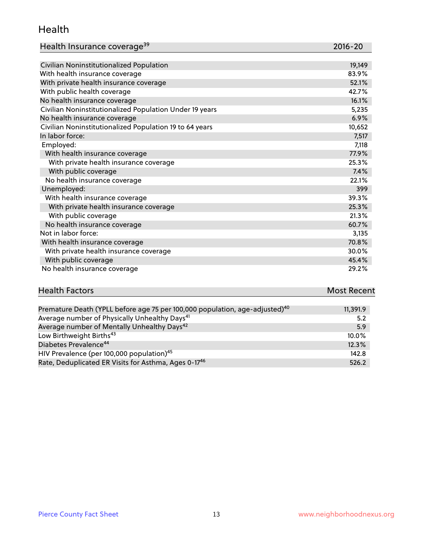#### Health

| Health Insurance coverage <sup>39</sup> | 2016-20 |
|-----------------------------------------|---------|
|-----------------------------------------|---------|

| Civilian Noninstitutionalized Population                | 19,149 |
|---------------------------------------------------------|--------|
| With health insurance coverage                          | 83.9%  |
| With private health insurance coverage                  | 52.1%  |
| With public health coverage                             | 42.7%  |
| No health insurance coverage                            | 16.1%  |
| Civilian Noninstitutionalized Population Under 19 years | 5,235  |
| No health insurance coverage                            | 6.9%   |
| Civilian Noninstitutionalized Population 19 to 64 years | 10,652 |
| In labor force:                                         | 7,517  |
| Employed:                                               | 7,118  |
| With health insurance coverage                          | 77.9%  |
| With private health insurance coverage                  | 25.3%  |
| With public coverage                                    | 7.4%   |
| No health insurance coverage                            | 22.1%  |
| Unemployed:                                             | 399    |
| With health insurance coverage                          | 39.3%  |
| With private health insurance coverage                  | 25.3%  |
| With public coverage                                    | 21.3%  |
| No health insurance coverage                            | 60.7%  |
| Not in labor force:                                     | 3,135  |
| With health insurance coverage                          | 70.8%  |
| With private health insurance coverage                  | 30.0%  |
| With public coverage                                    | 45.4%  |
| No health insurance coverage                            | 29.2%  |

| <b>Health Factors</b> | <b>Most Recent</b> |
|-----------------------|--------------------|
|                       |                    |

| Premature Death (YPLL before age 75 per 100,000 population, age-adjusted) <sup>40</sup> | 11,391.9 |
|-----------------------------------------------------------------------------------------|----------|
| Average number of Physically Unhealthy Days <sup>41</sup>                               | 5.2      |
| Average number of Mentally Unhealthy Days <sup>42</sup>                                 | 5.9      |
| Low Birthweight Births <sup>43</sup>                                                    | $10.0\%$ |
| Diabetes Prevalence <sup>44</sup>                                                       | 12.3%    |
| HIV Prevalence (per 100,000 population) <sup>45</sup>                                   | 142.8    |
| Rate, Deduplicated ER Visits for Asthma, Ages 0-17 <sup>46</sup>                        | 526.2    |